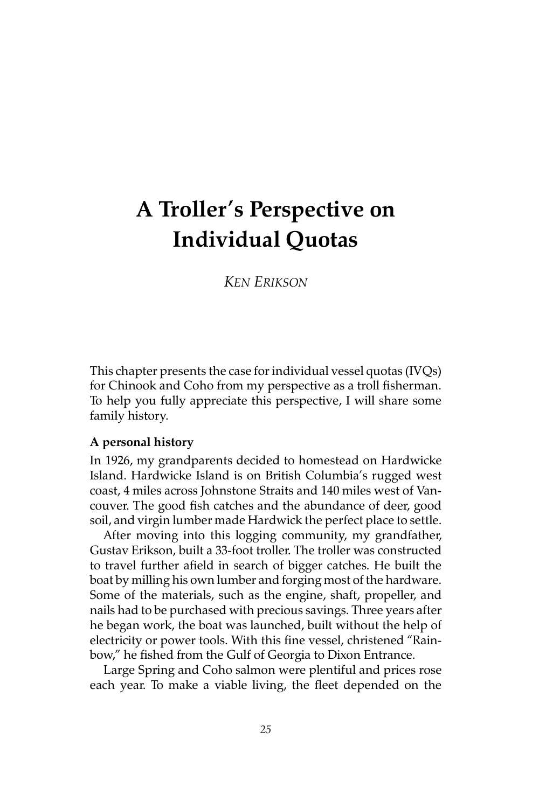# **A Troller's Perspective on Individual Quotas**

*KEN ERIKSON*

This chapter presents the case for individual vessel quotas (IVQs) for Chinook and Coho from my perspective as a troll fisherman. To help you fully appreciate this perspective, I will share some family history.

#### **A personal history**

In 1926, my grandparents decided to homestead on Hardwicke Island. Hardwicke Island is on British Columbia's rugged west coast, 4 miles across Johnstone Straits and 140 miles west of Vancouver. The good fish catches and the abundance of deer, good soil, and virgin lumber made Hardwick the perfect place to settle.

After moving into this logging community, my grandfather, Gustav Erikson, built a 33-foot troller. The troller was constructed to travel further afield in search of bigger catches. He built the boat by milling his own lumber and forging most of the hardware. Some of the materials, such as the engine, shaft, propeller, and nails had to be purchased with precious savings. Three years after he began work, the boat was launched, built without the help of electricity or power tools. With this fine vessel, christened "Rainbow," he fished from the Gulf of Georgia to Dixon Entrance.

Large Spring and Coho salmon were plentiful and prices rose each year. To make a viable living, the fleet depended on the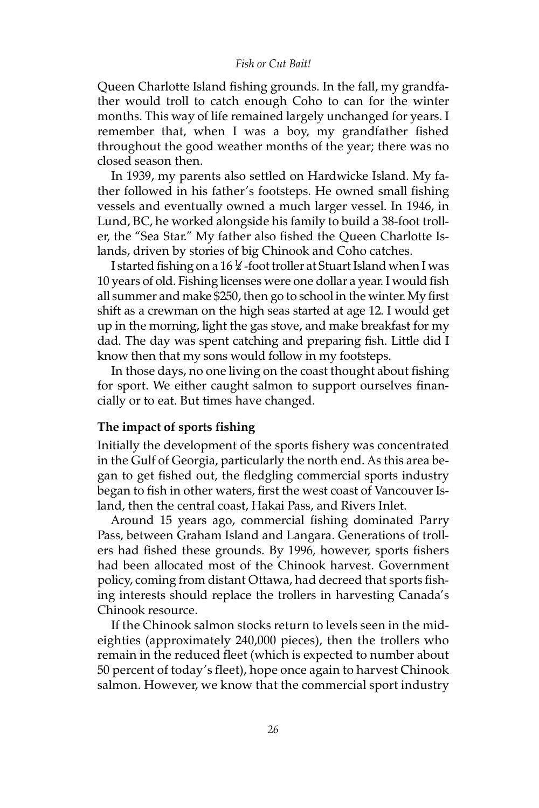#### *Fish or Cut Bait!*

Queen Charlotte Island fishing grounds. In the fall, my grandfather would troll to catch enough Coho to can for the winter months. This way of life remained largely unchanged for years. I remember that, when I was a boy, my grandfather fished throughout the good weather months of the year; there was no closed season then.

In 1939, my parents also settled on Hardwicke Island. My father followed in his father's footsteps. He owned small fishing vessels and eventually owned a much larger vessel. In 1946, in Lund, BC, he worked alongside his family to build a 38-foot troller, the "Sea Star." My father also fished the Queen Charlotte Islands, driven by stories of big Chinook and Coho catches.

I started fishing on a 16  $\frac{1}{2}$  -foot troller at Stuart Island when I was 10 years of old. Fishing licenses were one dollar a year. I would fish all summer and make \$250, then go to school in the winter. My first shift as a crewman on the high seas started at age 12. I would get up in the morning, light the gas stove, and make breakfast for my dad. The day was spent catching and preparing fish. Little did I know then that my sons would follow in my footsteps.

In those days, no one living on the coast thought about fishing for sport. We either caught salmon to support ourselves financially or to eat. But times have changed.

#### **The impact of sports fishing**

Initially the development of the sports fishery was concentrated in the Gulf of Georgia, particularly the north end. As this area began to get fished out, the fledgling commercial sports industry began to fish in other waters, first the west coast of Vancouver Island, then the central coast, Hakai Pass, and Rivers Inlet.

Around 15 years ago, commercial fishing dominated Parry Pass, between Graham Island and Langara. Generations of trollers had fished these grounds. By 1996, however, sports fishers had been allocated most of the Chinook harvest. Government policy, coming from distant Ottawa, had decreed that sports fishing interests should replace the trollers in harvesting Canada's Chinook resource.

If the Chinook salmon stocks return to levels seen in the mideighties (approximately 240,000 pieces), then the trollers who remain in the reduced fleet (which is expected to number about 50 percent of today's fleet), hope once again to harvest Chinook salmon. However, we know that the commercial sport industry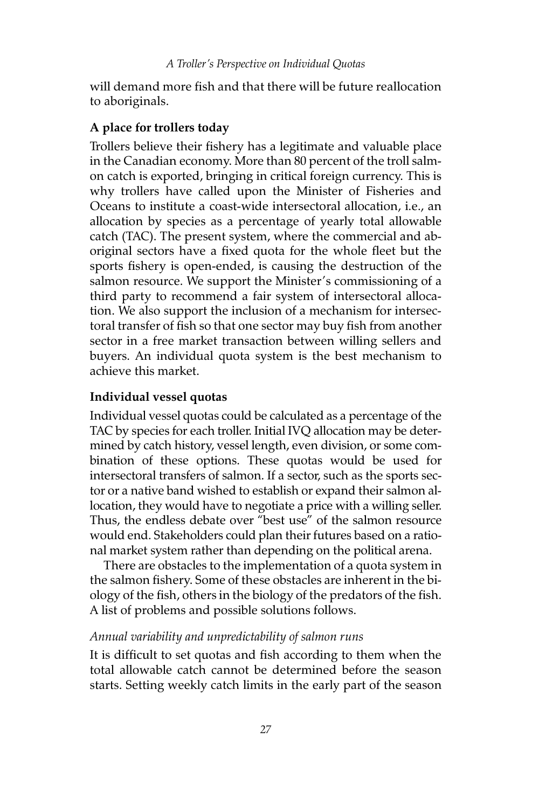will demand more fish and that there will be future reallocation to aboriginals.

# **A place for trollers today**

Trollers believe their fishery has a legitimate and valuable place in the Canadian economy. More than 80 percent of the troll salmon catch is exported, bringing in critical foreign currency. This is why trollers have called upon the Minister of Fisheries and Oceans to institute a coast-wide intersectoral allocation, i.e., an allocation by species as a percentage of yearly total allowable catch (TAC). The present system, where the commercial and aboriginal sectors have a fixed quota for the whole fleet but the sports fishery is open-ended, is causing the destruction of the salmon resource. We support the Minister's commissioning of a third party to recommend a fair system of intersectoral allocation. We also support the inclusion of a mechanism for intersectoral transfer of fish so that one sector may buy fish from another sector in a free market transaction between willing sellers and buyers. An individual quota system is the best mechanism to achieve this market.

# **Individual vessel quotas**

Individual vessel quotas could be calculated as a percentage of the TAC by species for each troller. Initial IVQ allocation may be determined by catch history, vessel length, even division, or some combination of these options. These quotas would be used for intersectoral transfers of salmon. If a sector, such as the sports sector or a native band wished to establish or expand their salmon allocation, they would have to negotiate a price with a willing seller. Thus, the endless debate over "best use" of the salmon resource would end. Stakeholders could plan their futures based on a rational market system rather than depending on the political arena.

There are obstacles to the implementation of a quota system in the salmon fishery. Some of these obstacles are inherent in the biology of the fish, others in the biology of the predators of the fish. A list of problems and possible solutions follows.

## *Annual variability and unpredictability of salmon runs*

It is difficult to set quotas and fish according to them when the total allowable catch cannot be determined before the season starts. Setting weekly catch limits in the early part of the season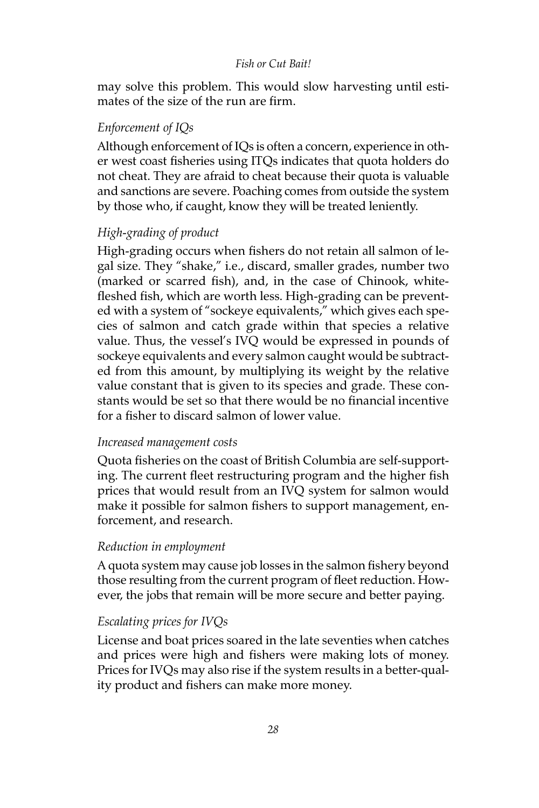#### *Fish or Cut Bait!*

may solve this problem. This would slow harvesting until estimates of the size of the run are firm.

# *Enforcement of IQs*

Although enforcement of IQs is often a concern, experience in other west coast fisheries using ITQs indicates that quota holders do not cheat. They are afraid to cheat because their quota is valuable and sanctions are severe. Poaching comes from outside the system by those who, if caught, know they will be treated leniently.

## *High-grading of product*

High-grading occurs when fishers do not retain all salmon of legal size. They "shake," i.e., discard, smaller grades, number two (marked or scarred fish), and, in the case of Chinook, whitefleshed fish, which are worth less. High-grading can be prevented with a system of "sockeye equivalents," which gives each species of salmon and catch grade within that species a relative value. Thus, the vessel's IVQ would be expressed in pounds of sockeye equivalents and every salmon caught would be subtracted from this amount, by multiplying its weight by the relative value constant that is given to its species and grade. These constants would be set so that there would be no financial incentive for a fisher to discard salmon of lower value.

#### *Increased management costs*

Quota fisheries on the coast of British Columbia are self-supporting. The current fleet restructuring program and the higher fish prices that would result from an IVQ system for salmon would make it possible for salmon fishers to support management, enforcement, and research.

## *Reduction in employment*

A quota system may cause job losses in the salmon fishery beyond those resulting from the current program of fleet reduction. However, the jobs that remain will be more secure and better paying.

## *Escalating prices for IVQs*

License and boat prices soared in the late seventies when catches and prices were high and fishers were making lots of money. Prices for IVQs may also rise if the system results in a better-quality product and fishers can make more money.